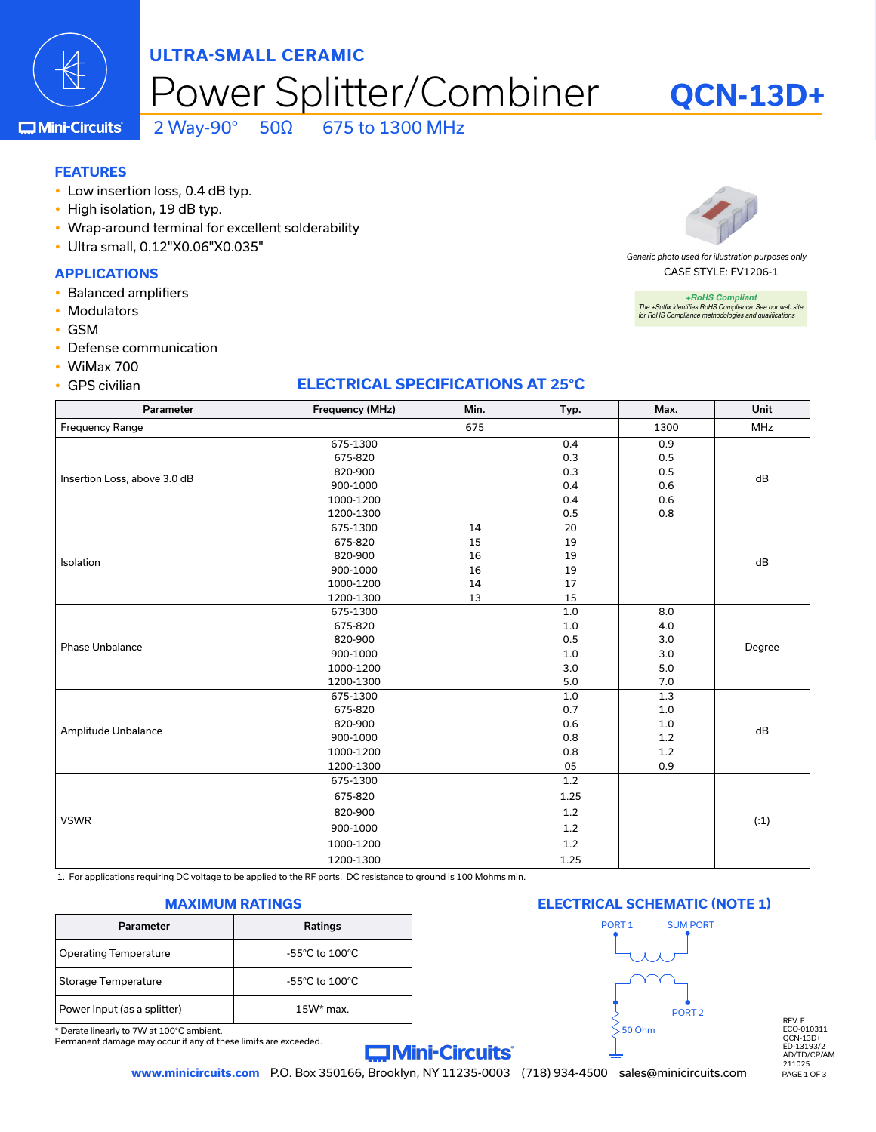

## 'ower Splitter/Combiner **ULTRA-SMALL CERAMIC**

**QCN-13D+**

**COMini-Circuits** 

2 Way-90° 50Ω 675 to 1300 MHz

#### **FEATURES**

- Low insertion loss, 0.4 dB typ.
- High isolation, 19 dB typ.
- Wrap-around terminal for excellent solderability
- y Ultra small, 0.12"X0.06"X0.035"

#### **APPLICATIONS**

- Balanced amplifiers
- Modulators
- $\cdot$  GSM
- Defense communication
- $\cdot$  WiMax 700
- $\cdot$  GPS civilian

#### **ELECTRICAL SPECIFICATIONS AT 25°C**

| Parameter                    | Frequency (MHz) | Min. | Typ.    | Max.  | Unit   |  |
|------------------------------|-----------------|------|---------|-------|--------|--|
| <b>Frequency Range</b>       |                 | 675  |         | 1300  | MHz    |  |
|                              | 675-1300        |      | 0.4     | 0.9   | dB     |  |
|                              | 675-820         |      | 0.3     | 0.5   |        |  |
|                              | 820-900         |      | 0.3     | 0.5   |        |  |
| Insertion Loss, above 3.0 dB | 900-1000        |      | 0.4     | 0.6   |        |  |
|                              | 1000-1200       |      | 0.4     | 0.6   |        |  |
|                              | 1200-1300       |      | 0.5     | 0.8   |        |  |
|                              | 675-1300        | 14   | 20      |       |        |  |
|                              | 675-820         | 15   | 19      |       |        |  |
| Isolation                    | 820-900         | 16   | 19      |       | dB     |  |
|                              | 900-1000        | 16   | 19      |       |        |  |
|                              | 1000-1200       | 14   | 17      |       |        |  |
|                              | 1200-1300       | 13   | 15      |       |        |  |
|                              | 675-1300        |      | 1.0     | 8.0   |        |  |
|                              | 675-820         |      | $1.0\,$ | 4.0   |        |  |
| <b>Phase Unbalance</b>       | 820-900         |      | 0.5     | 3.0   | Degree |  |
|                              | 900-1000        |      | $1.0\,$ | 3.0   |        |  |
|                              | 1000-1200       |      | 3.0     | 5.0   |        |  |
|                              | 1200-1300       |      | 5.0     | 7.0   |        |  |
|                              | 675-1300        |      | 1.0     | 1.3   | dB     |  |
|                              | 675-820         |      | 0.7     | $1.0$ |        |  |
| Amplitude Unbalance          | 820-900         |      | 0.6     | 1.0   |        |  |
|                              | 900-1000        |      | 0.8     | 1.2   |        |  |
|                              | 1000-1200       |      | 0.8     | 1.2   |        |  |
|                              | 1200-1300       |      | 05      | 0.9   |        |  |
|                              | 675-1300        |      | 1.2     |       |        |  |
|                              | 675-820         |      | 1.25    |       |        |  |
|                              | 820-900         |      | 1.2     |       | (1)    |  |
| <b>VSWR</b>                  | 900-1000        |      | 1.2     |       |        |  |
|                              | 1000-1200       |      | 1.2     |       |        |  |
|                              | 1200-1300       |      | 1.25    |       |        |  |

1. For applications requiring DC voltage to be applied to the RF ports. DC resistance to ground is 100 Mohms min.

| Parameter                   | <b>Ratings</b>                     |
|-----------------------------|------------------------------------|
| Operating Temperature       | $-55^{\circ}$ C to $100^{\circ}$ C |
| Storage Temperature         | $-55^{\circ}$ C to $100^{\circ}$ C |
| Power Input (as a splitter) | $15W*$ max.                        |

\* Derate linearly to 7W at 100°C ambient.

Permanent damage may occur if any of these limits are exceeded.

**Mini-Circuits** 

#### **MAXIMUM RATINGS ELECTRICAL SCHEMATIC (NOTE 1)**



REV. E ECO-010311 QCN-13D+ ED-13193/2 AD/TD/CP/AM 211025

**www.minicircuits.com** P.O. Box 350166, Brooklyn, NY 11235-0003 (718) 934-4500 sales@minicircuits.com PAGE 1 OF 3



CASE STYLE: FV1206-1 *Generic photo used for illustration purposes only*

*+RoHS Compliant The +Suffix identifies RoHS Compliance. See our web site for RoHS Compliance methodologies and qualifications*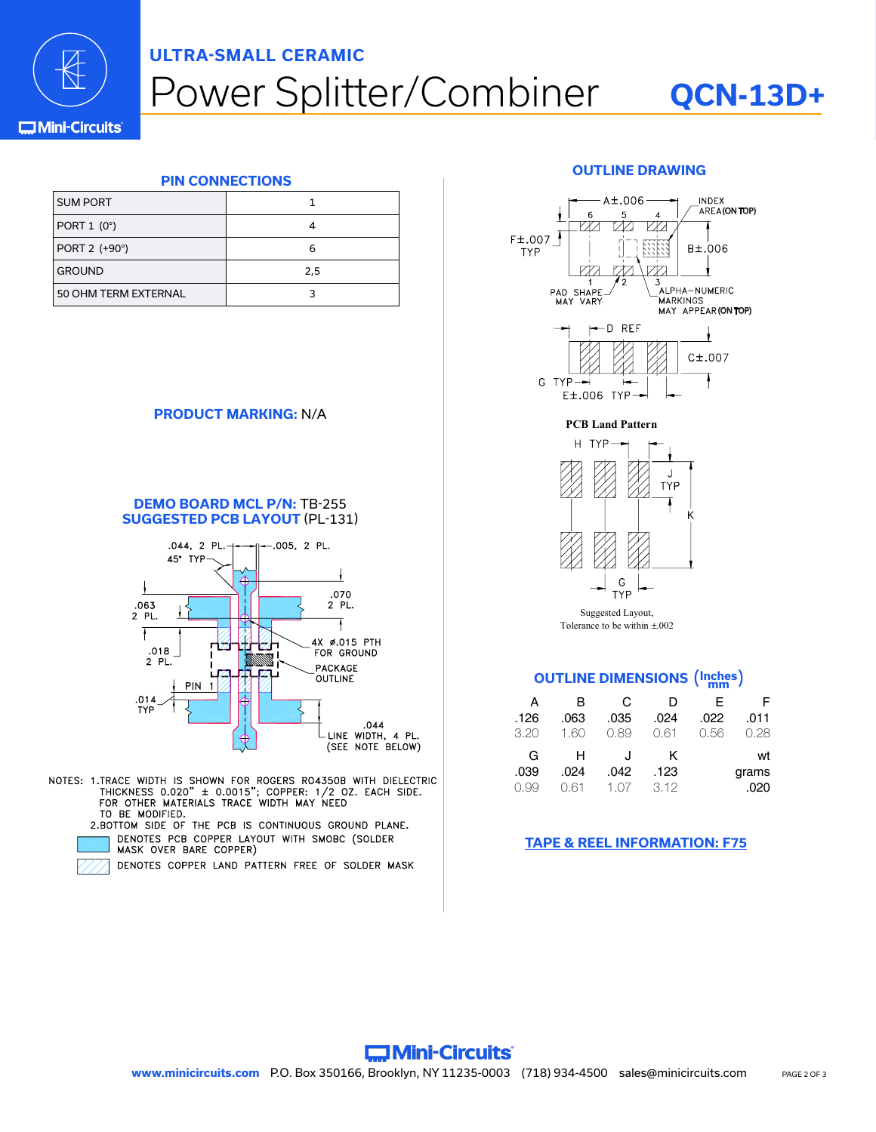

## ower Splitter/Combiner **ULTRA-SMALL CERAMIC**

## **QCN-13D+**

#### **C**Mini-Circuits

#### **PIN CONNECTIONS**

| <b>SUM PORT</b>      |     |
|----------------------|-----|
| PORT $1(0^{\circ})$  |     |
| PORT 2 (+90°)        | 6   |
| <b>GROUND</b>        | 2,5 |
| 50 OHM TERM EXTERNAL |     |

#### **PRODUCT MARKING:** N/A

#### **DEMO BOARD MCL P/N:** TB-255 **SUGGESTED PCB LAYOUT** (PL-131)



- NOTES: 1.TRACE WIDTH IS SHOWN FOR ROGERS RO4350B WITH DIELECTRIC<br>THICKNESS 0.020" ± 0.0015"; COPPER: 1/2 OZ. EACH SIDE.<br>FOR OTHER MATERIALS TRACE WIDTH MAY NEED TO BE MODIFIED.
	- 2.BOTTOM SIDE OF THE PCB IS CONTINUOUS GROUND PLANE. DENOTES PCB COPPER LAYOUT WITH SMOBC (SOLDER MASK OVER BARE COPPER)
		- DENOTES COPPER LAND PATTERN FREE OF SOLDER MASK

#### **OUTLINE DRAWING**







Suggested Layout, Tolerance to be within  $+002$ .

#### **OUTLINE DIMENSIONS** (**Inches mm** )

| А<br>.126<br>3.20 | в<br>.063<br>1.60 | C<br>.035<br>0.89 | D<br>.024<br>0.61 | F<br>.022<br>0.56 | .011<br>0.28 |
|-------------------|-------------------|-------------------|-------------------|-------------------|--------------|
| G                 | н                 | J                 | ĸ                 |                   | wt           |
| .039              | .024              | .042              | .123              |                   | grams        |
| 0.99              | N 61              | 1 O <sub>7</sub>  | 3.12              |                   | .020         |

#### **[TAPE & REEL INFORMATION: F75](https://www.minicircuits.com/case_style/tape_reel/98-TRF75.pdf)**